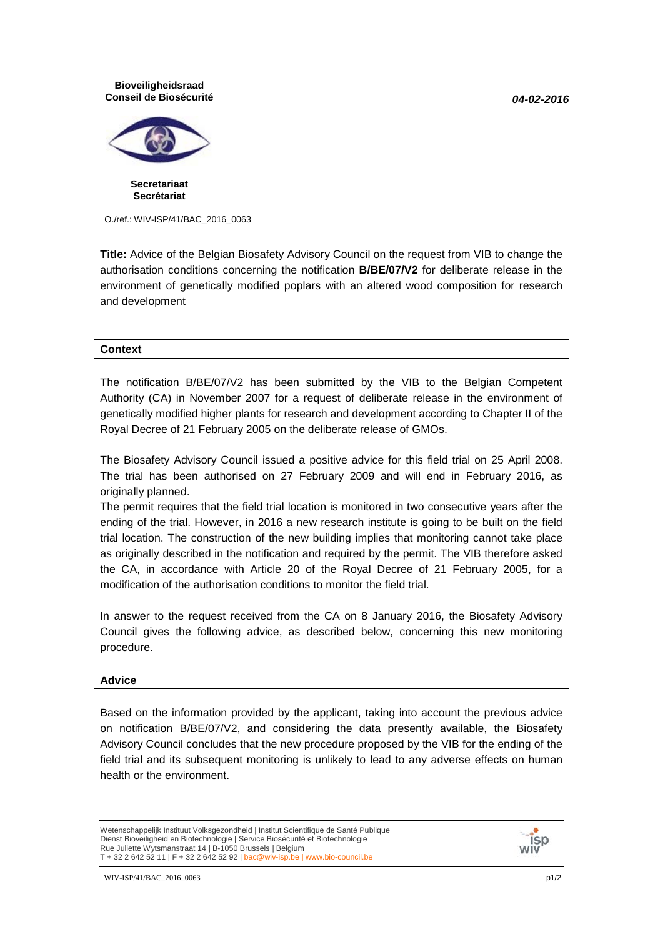*04-02-2016*

## **Bioveiligheidsraad Conseil de Biosécurité**



**Secretariaat Secrétariat**

O./ref.: WIV-ISP/41/BAC\_2016\_0063

**Title:** Advice of the Belgian Biosafety Advisory Council on the request from VIB to change the authorisation conditions concerning the notification **B/BE/07/V2** for deliberate release in the environment of genetically modified poplars with an altered wood composition for research and development

## **Context**

The notification B/BE/07/V2 has been submitted by the VIB to the Belgian Competent Authority (CA) in November 2007 for a request of deliberate release in the environment of genetically modified higher plants for research and development according to Chapter II of the Royal Decree of 21 February 2005 on the deliberate release of GMOs.

The Biosafety Advisory Council issued a positive advice for this field trial on 25 April 2008. The trial has been authorised on 27 February 2009 and will end in February 2016, as originally planned.

The permit requires that the field trial location is monitored in two consecutive years after the ending of the trial. However, in 2016 a new research institute is going to be built on the field trial location. The construction of the new building implies that monitoring cannot take place as originally described in the notification and required by the permit. The VIB therefore asked the CA, in accordance with Article 20 of the Royal Decree of 21 February 2005, for a modification of the authorisation conditions to monitor the field trial.

In answer to the request received from the CA on 8 January 2016, the Biosafety Advisory Council gives the following advice, as described below, concerning this new monitoring procedure.

## **Advice**

Based on the information provided by the applicant, taking into account the previous advice on notification B/BE/07/V2, and considering the data presently available, the Biosafety Advisory Council concludes that the new procedure proposed by the VIB for the ending of the field trial and its subsequent monitoring is unlikely to lead to any adverse effects on human health or the environment.

Wetenschappelijk Instituut Volksgezondheid | Institut Scientifique de Santé Publique Dienst Bioveiligheid en Biotechnologie | Service Biosécurité et Biotechnologie Rue Juliette Wytsmanstraat 14 | B-1050 Brussels | Belgium T + 32 2 642 52 11 | F + 32 2 642 52 92 | bac@wiv-isp.be | www.bio-council.be